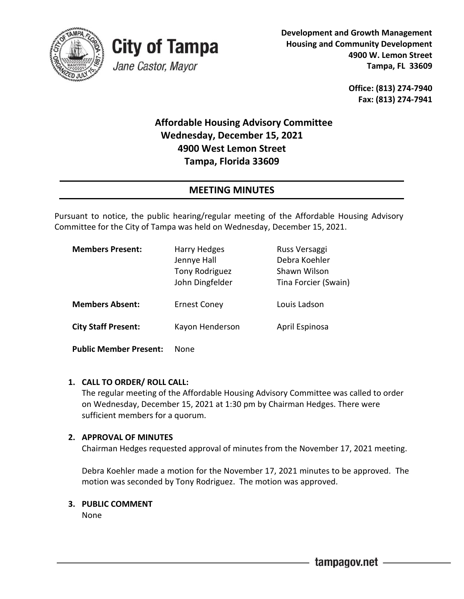



**Development and Growth Management Housing and Community Development 4900 W. Lemon Street Tampa, FL 33609**

> **Office: (813) 274-7940 Fax: (813) 274-7941**

# **Affordable Housing Advisory Committee Wednesday, December 15, 2021 4900 West Lemon Street Tampa, Florida 33609**

# **MEETING MINUTES**

Pursuant to notice, the public hearing/regular meeting of the Affordable Housing Advisory Committee for the City of Tampa was held on Wednesday, December 15, 2021.

| <b>Members Present:</b>       | <b>Harry Hedges</b><br>Jennye Hall<br>Tony Rodriguez<br>John Dingfelder | Russ Versaggi<br>Debra Koehler<br>Shawn Wilson<br>Tina Forcier (Swain) |
|-------------------------------|-------------------------------------------------------------------------|------------------------------------------------------------------------|
| <b>Members Absent:</b>        | <b>Ernest Coney</b>                                                     | Louis Ladson                                                           |
| <b>City Staff Present:</b>    | Kayon Henderson                                                         | April Espinosa                                                         |
| <b>Public Member Present:</b> | None                                                                    |                                                                        |

### **1. CALL TO ORDER/ ROLL CALL:**

The regular meeting of the Affordable Housing Advisory Committee was called to order on Wednesday, December 15, 2021 at 1:30 pm by Chairman Hedges. There were sufficient members for a quorum.

### **2. APPROVAL OF MINUTES**

Chairman Hedges requested approval of minutes from the November 17, 2021 meeting.

Debra Koehler made a motion for the November 17, 2021 minutes to be approved. The motion was seconded by Tony Rodriguez. The motion was approved.

### **3. PUBLIC COMMENT**

None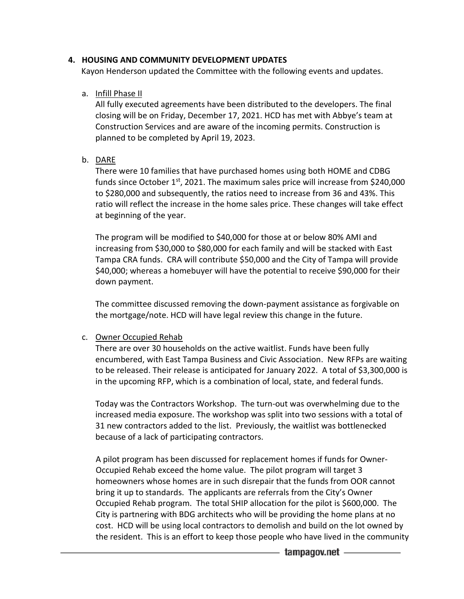#### **4. HOUSING AND COMMUNITY DEVELOPMENT UPDATES**

Kayon Henderson updated the Committee with the following events and updates.

#### a. Infill Phase II

All fully executed agreements have been distributed to the developers. The final closing will be on Friday, December 17, 2021. HCD has met with Abbye's team at Construction Services and are aware of the incoming permits. Construction is planned to be completed by April 19, 2023.

### b. DARE

There were 10 families that have purchased homes using both HOME and CDBG funds since October  $1<sup>st</sup>$ , 2021. The maximum sales price will increase from \$240,000 to \$280,000 and subsequently, the ratios need to increase from 36 and 43%. This ratio will reflect the increase in the home sales price. These changes will take effect at beginning of the year.

The program will be modified to \$40,000 for those at or below 80% AMI and increasing from \$30,000 to \$80,000 for each family and will be stacked with East Tampa CRA funds. CRA will contribute \$50,000 and the City of Tampa will provide \$40,000; whereas a homebuyer will have the potential to receive \$90,000 for their down payment.

The committee discussed removing the down-payment assistance as forgivable on the mortgage/note. HCD will have legal review this change in the future.

#### c. Owner Occupied Rehab

There are over 30 households on the active waitlist. Funds have been fully encumbered, with East Tampa Business and Civic Association. New RFPs are waiting to be released. Their release is anticipated for January 2022. A total of \$3,300,000 is in the upcoming RFP, which is a combination of local, state, and federal funds.

Today was the Contractors Workshop. The turn-out was overwhelming due to the increased media exposure. The workshop was split into two sessions with a total of 31 new contractors added to the list. Previously, the waitlist was bottlenecked because of a lack of participating contractors.

 A pilot program has been discussed for replacement homes if funds for Owner- Occupied Rehab exceed the home value. The pilot program will target 3 homeowners whose homes are in such disrepair that the funds from OOR cannot bring it up to standards. The applicants are referrals from the City's Owner Occupied Rehab program. The total SHIP allocation for the pilot is \$600,000. The City is partnering with BDG architects who will be providing the home plans at no cost. HCD will be using local contractors to demolish and build on the lot owned by the resident. This is an effort to keep those people who have lived in the community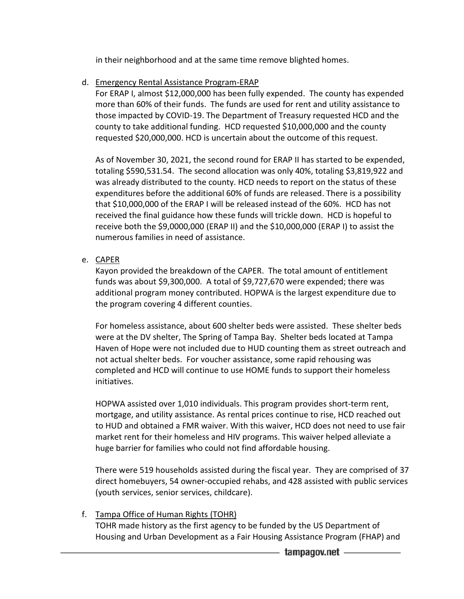in their neighborhood and at the same time remove blighted homes.

d. Emergency Rental Assistance Program-ERAP

For ERAP I, almost \$12,000,000 has been fully expended. The county has expended more than 60% of their funds. The funds are used for rent and utility assistance to those impacted by COVID-19. The Department of Treasury requested HCD and the county to take additional funding. HCD requested \$10,000,000 and the county requested \$20,000,000. HCD is uncertain about the outcome of this request.

As of November 30, 2021, the second round for ERAP II has started to be expended, totaling \$590,531.54. The second allocation was only 40%, totaling \$3,819,922 and was already distributed to the county. HCD needs to report on the status of these expenditures before the additional 60% of funds are released. There is a possibility that \$10,000,000 of the ERAP I will be released instead of the 60%. HCD has not received the final guidance how these funds will trickle down. HCD is hopeful to receive both the \$9,0000,000 (ERAP II) and the \$10,000,000 (ERAP I) to assist the numerous families in need of assistance.

e. CAPER

Kayon provided the breakdown of the CAPER. The total amount of entitlement funds was about \$9,300,000. A total of \$9,727,670 were expended; there was additional program money contributed. HOPWA is the largest expenditure due to the program covering 4 different counties.

For homeless assistance, about 600 shelter beds were assisted. These shelter beds were at the DV shelter, The Spring of Tampa Bay. Shelter beds located at Tampa Haven of Hope were not included due to HUD counting them as street outreach and not actual shelter beds. For voucher assistance, some rapid rehousing was completed and HCD will continue to use HOME funds to support their homeless initiatives.

HOPWA assisted over 1,010 individuals. This program provides short-term rent, mortgage, and utility assistance. As rental prices continue to rise, HCD reached out to HUD and obtained a FMR waiver. With this waiver, HCD does not need to use fair market rent for their homeless and HIV programs. This waiver helped alleviate a huge barrier for families who could not find affordable housing.

There were 519 households assisted during the fiscal year. They are comprised of 37 direct homebuyers, 54 owner-occupied rehabs, and 428 assisted with public services (youth services, senior services, childcare).

f. Tampa Office of Human Rights (TOHR)

TOHR made history as the first agency to be funded by the US Department of Housing and Urban Development as a Fair Housing Assistance Program (FHAP) and